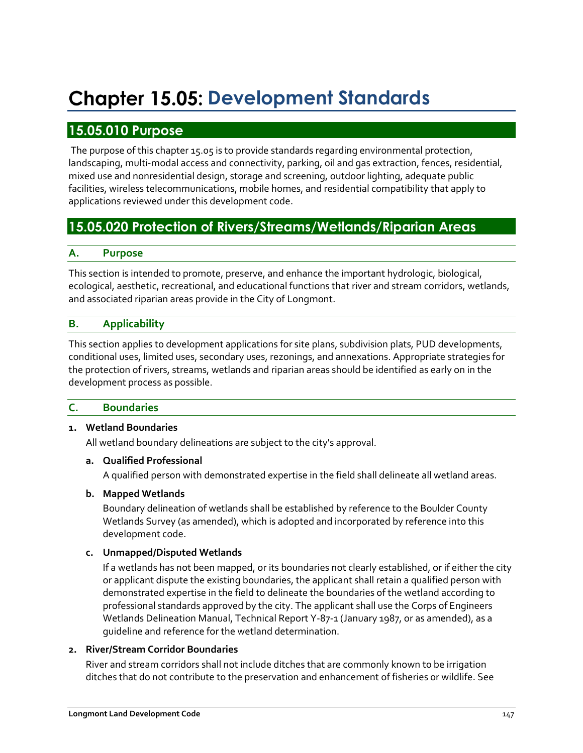# **Chapter 15.05: Development Standards**

# **15.05.010 Purpose**

The purpose of this chapter 15.05 is to provide standards regarding environmental protection, landscaping, multi-modal access and connectivity, parking, oil and gas extraction, fences, residential, mixed use and nonresidential design, storage and screening, outdoor lighting, adequate public facilities, wireless telecommunications, mobile homes, and residential compatibility that apply to applications reviewed under this development code.

# **15.05.020 Protection of Rivers/Streams/Wetlands/Riparian Areas**

## **A. Purpose**

This section is intended to promote, preserve, and enhance the important hydrologic, biological, ecological, aesthetic, recreational, and educational functions that river and stream corridors, wetlands, and associated riparian areas provide in the City of Longmont.

# **B. Applicability**

This section applies to development applications for site plans, subdivision plats, PUD developments, conditional uses, limited uses, secondary uses, rezonings, and annexations. Appropriate strategies for the protection of rivers, streams, wetlands and riparian areas should be identified as early on in the development process as possible.

#### **C. Boundaries**

#### **1. Wetland Boundaries**

All wetland boundary delineations are subject to the city's approval.

#### **a. Qualified Professional**

A qualified person with demonstrated expertise in the field shall delineate all wetland areas.

#### **b. Mapped Wetlands**

Boundary delineation of wetlands shall be established by reference to the Boulder County Wetlands Survey (as amended), which is adopted and incorporated by reference into this development code.

#### **c. Unmapped/Disputed Wetlands**

If a wetlands has not been mapped, or its boundaries not clearly established, or if either the city or applicant dispute the existing boundaries, the applicant shall retain a qualified person with demonstrated expertise in the field to delineate the boundaries of the wetland according to professional standards approved by the city. The applicant shall use the Corps of Engineers Wetlands Delineation Manual, Technical Report Y-87-1 (January 1987, or as amended), as a guideline and reference for the wetland determination.

#### **2. River/Stream Corridor Boundaries**

River and stream corridors shall not include ditches that are commonly known to be irrigation ditches that do not contribute to the preservation and enhancement of fisheries or wildlife. See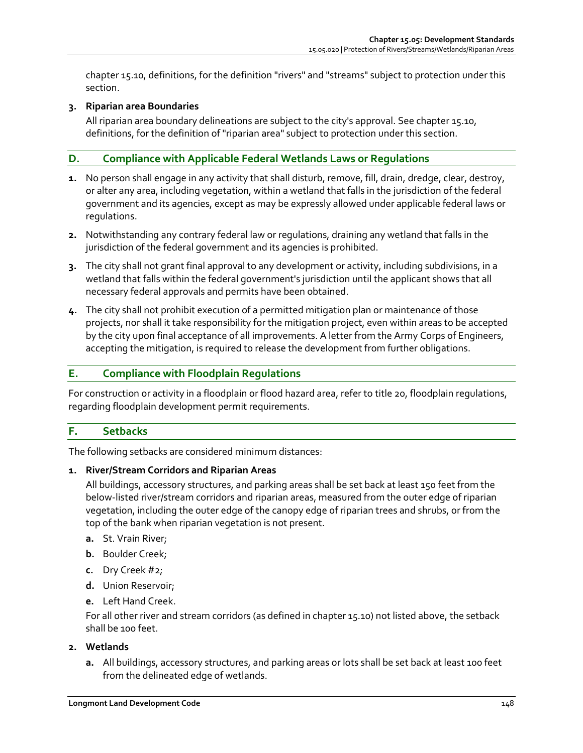chapter 15.10, definitions, for the definition "rivers" and "streams" subject to protection under this section.

#### **3. Riparian area Boundaries**

All riparian area boundary delineations are subject to the city's approval. See chapter 15.10, definitions, for the definition of "riparian area" subject to protection under this section.

# **D. Compliance with Applicable Federal Wetlands Laws or Regulations**

- **1.** No person shall engage in any activity that shall disturb, remove, fill, drain, dredge, clear, destroy, or alter any area, including vegetation, within a wetland that falls in the jurisdiction of the federal government and its agencies, except as may be expressly allowed under applicable federal laws or regulations.
- **2.** Notwithstanding any contrary federal law or regulations, draining any wetland that falls in the jurisdiction of the federal government and its agencies is prohibited.
- **3.** The city shall not grant final approval to any development or activity, including subdivisions, in a wetland that falls within the federal government's jurisdiction until the applicant shows that all necessary federal approvals and permits have been obtained.
- **4.** The city shall not prohibit execution of a permitted mitigation plan or maintenance of those projects, nor shall it take responsibility for the mitigation project, even within areas to be accepted by the city upon final acceptance of all improvements. A letter from the Army Corps of Engineers, accepting the mitigation, is required to release the development from further obligations.

## **E. Compliance with Floodplain Regulations**

For construction or activity in a floodplain or flood hazard area, refer to title 20, floodplain regulations, regarding floodplain development permit requirements.

# **F. Setbacks**

The following setbacks are considered minimum distances:

#### **1. River/Stream Corridors and Riparian Areas**

All buildings, accessory structures, and parking areas shall be set back at least 150 feet from the below-listed river/stream corridors and riparian areas, measured from the outer edge of riparian vegetation, including the outer edge of the canopy edge of riparian trees and shrubs, or from the top of the bank when riparian vegetation is not present.

- **a.** St. Vrain River;
- **b.** Boulder Creek;
- **c.** Dry Creek #2;
- **d.** Union Reservoir;
- **e.** Left Hand Creek.

For all other river and stream corridors (as defined in chapter 15.10) not listed above, the setback shall be 100 feet.

#### **2. Wetlands**

**a.** All buildings, accessory structures, and parking areas or lots shall be set back at least 100 feet from the delineated edge of wetlands.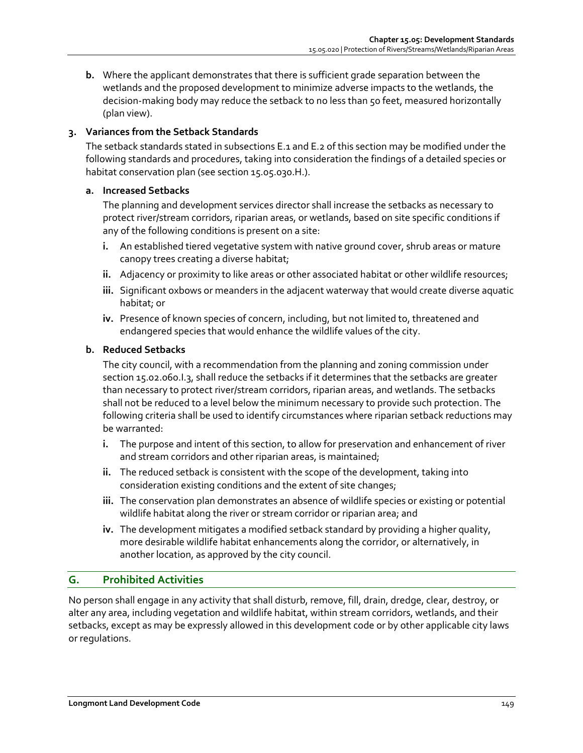**b.** Where the applicant demonstrates that there is sufficient grade separation between the wetlands and the proposed development to minimize adverse impacts to the wetlands, the decision-making body may reduce the setback to no less than 50 feet, measured horizontally (plan view).

## **3. Variances from the Setback Standards**

The setback standards stated in subsections E.1 and E.2 of this section may be modified under the following standards and procedures, taking into consideration the findings of a detailed species or habitat conservation plan (see section 15.05.030.H.).

#### **a. Increased Setbacks**

The planning and development services director shall increase the setbacks as necessary to protect river/stream corridors, riparian areas, or wetlands, based on site specific conditions if any of the following conditions is present on a site:

- **i.** An established tiered vegetative system with native ground cover, shrub areas or mature canopy trees creating a diverse habitat;
- **ii.** Adjacency or proximity to like areas or other associated habitat or other wildlife resources;
- **iii.** Significant oxbows or meanders in the adjacent waterway that would create diverse aquatic habitat; or
- **iv.** Presence of known species of concern, including, but not limited to, threatened and endangered species that would enhance the wildlife values of the city.

#### **b. Reduced Setbacks**

The city council, with a recommendation from the planning and zoning commission under section 15.02.060.I.3, shall reduce the setbacks if it determines that the setbacks are greater than necessary to protect river/stream corridors, riparian areas, and wetlands. The setbacks shall not be reduced to a level below the minimum necessary to provide such protection. The following criteria shall be used to identify circumstances where riparian setback reductions may be warranted:

- **i.** The purpose and intent of this section, to allow for preservation and enhancement of river and stream corridors and other riparian areas, is maintained;
- **ii.** The reduced setback is consistent with the scope of the development, taking into consideration existing conditions and the extent of site changes;
- **iii.** The conservation plan demonstrates an absence of wildlife species or existing or potential wildlife habitat along the river or stream corridor or riparian area; and
- **iv.** The development mitigates a modified setback standard by providing a higher quality, more desirable wildlife habitat enhancements along the corridor, or alternatively, in another location, as approved by the city council.

#### **G. Prohibited Activities**

No person shall engage in any activity that shall disturb, remove, fill, drain, dredge, clear, destroy, or alter any area, including vegetation and wildlife habitat, within stream corridors, wetlands, and their setbacks, except as may be expressly allowed in this development code or by other applicable city laws or regulations.